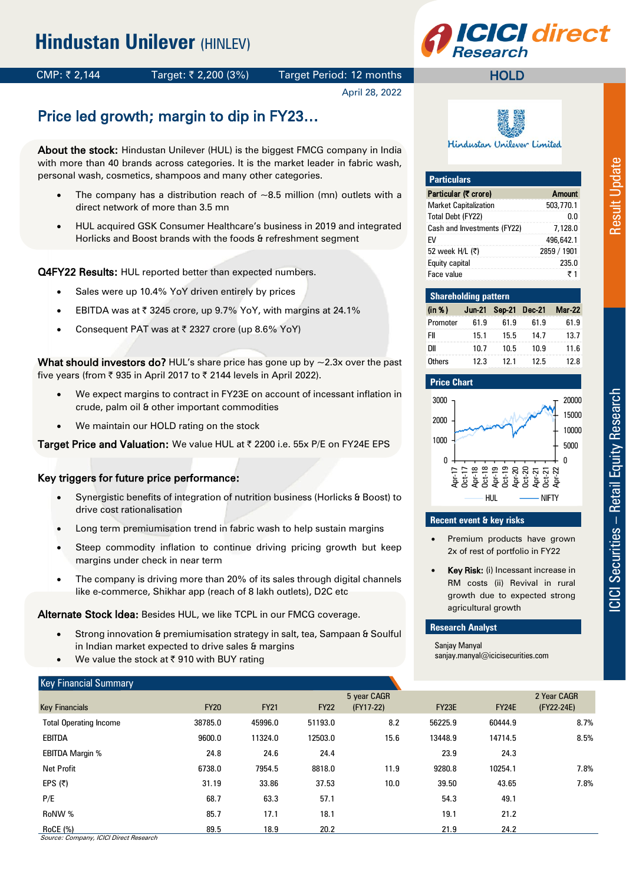

## CMP: ₹ 2,144 Target: ₹ 2,200 (3%) Target Period: 12 months

April 28, 2022

# Price led growth; margin to dip in FY23…

About the stock: Hindustan Unilever (HUL) is the biggest FMCG company in India with more than 40 brands across categories. It is the market leader in fabric wash, personal wash, cosmetics, shampoos and many other categories.

- The company has a distribution reach of  $\sim$ 8.5 million (mn) outlets with a direct network of more than 3.5 mn
- HUL acquired GSK Consumer Healthcare's business in 2019 and integrated Horlicks and Boost brands with the foods & refreshment segment

Q4FY22 Results: HUL reported better than expected numbers.

- Sales were up 10.4% YoY driven entirely by prices
- EBITDA was at  $\bar{\tau}$  3245 crore, up 9.7% YoY, with margins at 24.1%
- Consequent PAT was at  $\bar{\tau}$  2327 crore (up 8.6% YoY)

What should investors do? HUL's share price has gone up by  $\sim$ 2.3x over the past five years (from  $\bar{\tau}$  935 in April 2017 to  $\bar{\tau}$  2144 levels in April 2022).

- We expect margins to contract in FY23E on account of incessant inflation in crude, palm oil & other important commodities
- We maintain our HOLD rating on the stock

Target Price and Valuation: We value HUL at ₹ 2200 i.e. 55x P/E on FY24E EPS

#### Key triggers for future price performance:

- Synergistic benefits of integration of nutrition business (Horlicks & Boost) to drive cost rationalisation
- Long term premiumisation trend in fabric wash to help sustain margins
- Steep commodity inflation to continue driving pricing growth but keep margins under check in near term
- The company is driving more than 20% of its sales through digital channels like e-commerce, Shikhar app (reach of 8 lakh outlets), D2C etc

Alternate Stock Idea: Besides HUL, we like TCPL in our FMCG coverage.

- Strong innovation & premiumisation strategy in salt, tea, Sampaan & Soulful in Indian market expected to drive sales & margins
- We value the stock at ₹910 with BUY rating

#### Key Financial Summary

| Key Financial Summary         |             |             |             |             |         |         |             |
|-------------------------------|-------------|-------------|-------------|-------------|---------|---------|-------------|
|                               |             |             |             | 5 year CAGR |         |         | 2 Year CAGR |
| <b>Key Financials</b>         | <b>FY20</b> | <b>FY21</b> | <b>FY22</b> | (FY17-22)   | FY23E   | FY24E   | (FY22-24E)  |
| <b>Total Operating Income</b> | 38785.0     | 45996.0     | 51193.0     | 8.2         | 56225.9 | 60444.9 | 8.7%        |
| <b>EBITDA</b>                 | 9600.0      | 11324.0     | 12503.0     | 15.6        | 13448.9 | 14714.5 | 8.5%        |
| <b>EBITDA Margin %</b>        | 24.8        | 24.6        | 24.4        |             | 23.9    | 24.3    |             |
| <b>Net Profit</b>             | 6738.0      | 7954.5      | 8818.0      | 11.9        | 9280.8  | 10254.1 | 7.8%        |
| EPS $(5)$                     | 31.19       | 33.86       | 37.53       | 10.0        | 39.50   | 43.65   | 7.8%        |
| P/E                           | 68.7        | 63.3        | 57.1        |             | 54.3    | 49.1    |             |
| RoNW %                        | 85.7        | 17.1        | 18.1        |             | 19.1    | 21.2    |             |
| RoCE (%)                      | 89.5        | 18.9        | 20.2        |             | 21.9    | 24.2    |             |

Hindustan Unilever Limited

| <b>Particulars</b>           |               |
|------------------------------|---------------|
| Particular (₹ crore)         | <b>Amount</b> |
| <b>Market Capitalization</b> | 503,770.1     |
| Total Debt (FY22)            | n n           |
| Cash and Investments (FY22)  | 7,128.0       |
| FV                           | 496,642.1     |
| 52 week H/L (₹)              | 2859 / 1901   |
| Equity capital               | 235.0         |
| Face value                   | ₹1            |

|          | <b>Shareholding pattern</b> |      |      |                             |  |  |  |  |  |  |  |  |  |  |  |
|----------|-----------------------------|------|------|-----------------------------|--|--|--|--|--|--|--|--|--|--|--|
| (in %)   |                             |      |      | Jun-21 Sep-21 Dec-21 Mar-22 |  |  |  |  |  |  |  |  |  |  |  |
| Promoter | 61.9                        | 61.9 | 61.9 | 61.9                        |  |  |  |  |  |  |  |  |  |  |  |
| FII      | 15.1                        | 15.5 | 14.7 | 13.7                        |  |  |  |  |  |  |  |  |  |  |  |
| ווח      | 10.7                        | 10.5 | 10.9 | 11.6                        |  |  |  |  |  |  |  |  |  |  |  |
| Others   | 12.3                        | 121  | 12.5 | 128                         |  |  |  |  |  |  |  |  |  |  |  |



#### **Recent event & key risks**

- Premium products have grown 2x of rest of portfolio in FY22
- Key Risk: (i) Incessant increase in RM costs (ii) Revival in rural growth due to expected strong agricultural growth

#### **Research Analyst**

Sanjay Manyal sanjay.manyal@icicisecurities.com **Result Update** 

Source: Company, ICICI Direct Research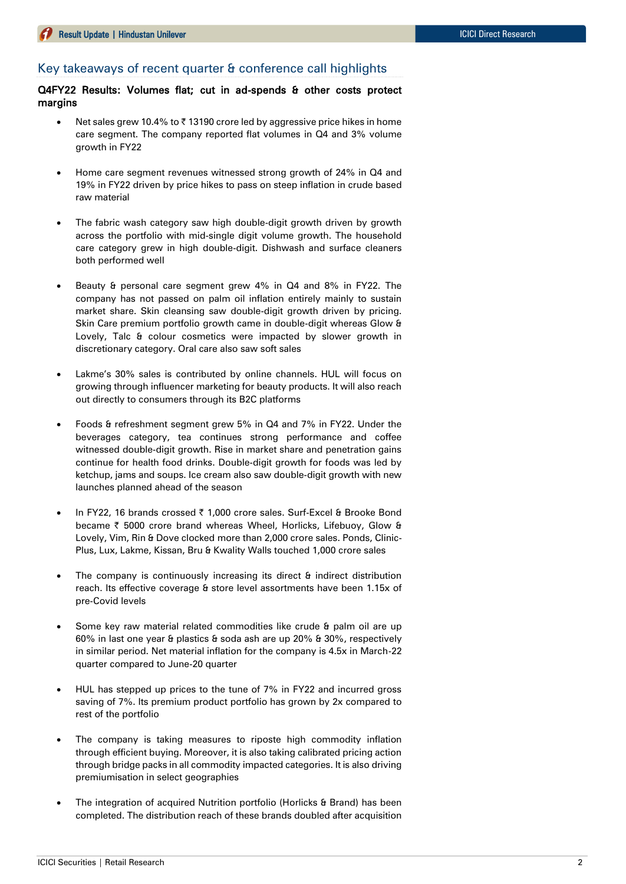#### Key takeaways of recent quarter & conference call highlights

Q4FY22 Results: Volumes flat; cut in ad-spends & other costs protect margins

- Net sales grew 10.4% to  $\bar{\tau}$  13190 crore led by aggressive price hikes in home care segment. The company reported flat volumes in Q4 and 3% volume growth in FY22
- Home care segment revenues witnessed strong growth of 24% in Q4 and 19% in FY22 driven by price hikes to pass on steep inflation in crude based raw material
- The fabric wash category saw high double-digit growth driven by growth across the portfolio with mid-single digit volume growth. The household care category grew in high double-digit. Dishwash and surface cleaners both performed well
- Beauty & personal care segment grew 4% in Q4 and 8% in FY22. The company has not passed on palm oil inflation entirely mainly to sustain market share. Skin cleansing saw double-digit growth driven by pricing. Skin Care premium portfolio growth came in double-digit whereas Glow & Lovely, Talc & colour cosmetics were impacted by slower growth in discretionary category. Oral care also saw soft sales
- Lakme's 30% sales is contributed by online channels. HUL will focus on growing through influencer marketing for beauty products. It will also reach out directly to consumers through its B2C platforms
- Foods & refreshment segment grew 5% in Q4 and 7% in FY22. Under the beverages category, tea continues strong performance and coffee witnessed double-digit growth. Rise in market share and penetration gains continue for health food drinks. Double-digit growth for foods was led by ketchup, jams and soups. Ice cream also saw double-digit growth with new launches planned ahead of the season
- In FY22, 16 brands crossed ₹ 1,000 crore sales. Surf-Excel & Brooke Bond became ₹ 5000 crore brand whereas Wheel, Horlicks, Lifebuoy, Glow & Lovely, Vim, Rin & Dove clocked more than 2,000 crore sales. Ponds, Clinic-Plus, Lux, Lakme, Kissan, Bru & Kwality Walls touched 1,000 crore sales
- The company is continuously increasing its direct & indirect distribution reach. Its effective coverage & store level assortments have been 1.15x of pre-Covid levels
- Some key raw material related commodities like crude & palm oil are up 60% in last one year & plastics & soda ash are up 20% & 30%, respectively in similar period. Net material inflation for the company is 4.5x in March-22 quarter compared to June-20 quarter
- HUL has stepped up prices to the tune of 7% in FY22 and incurred gross saving of 7%. Its premium product portfolio has grown by 2x compared to rest of the portfolio
- The company is taking measures to riposte high commodity inflation through efficient buying. Moreover, it is also taking calibrated pricing action through bridge packs in all commodity impacted categories. It is also driving premiumisation in select geographies
- The integration of acquired Nutrition portfolio (Horlicks & Brand) has been completed. The distribution reach of these brands doubled after acquisition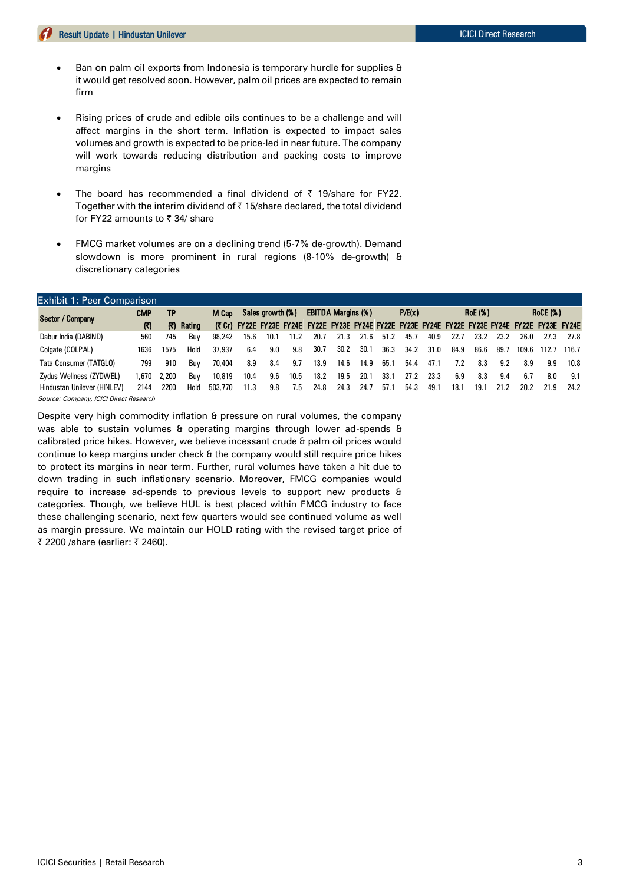- Ban on palm oil exports from Indonesia is temporary hurdle for supplies & it would get resolved soon. However, palm oil prices are expected to remain firm
- Rising prices of crude and edible oils continues to be a challenge and will affect margins in the short term. Inflation is expected to impact sales volumes and growth is expected to be price-led in near future. The company will work towards reducing distribution and packing costs to improve margins
- The board has recommended a final dividend of  $\bar{\tau}$  19/share for FY22. Together with the interim dividend of  $\bar{\tau}$  15/share declared, the total dividend for FY22 amounts to  $\bar{\tau}$  34/ share
- FMCG market volumes are on a declining trend (5-7% de-growth). Demand slowdown is more prominent in rural regions (8-10% de-growth) & discretionary categories

| <b>Exhibit 1: Peer Comparison</b> |              |       |            |         |                           |      |      |                                                                                                  |      |        |      |      |                |      |      |                 |       |       |       |
|-----------------------------------|--------------|-------|------------|---------|---------------------------|------|------|--------------------------------------------------------------------------------------------------|------|--------|------|------|----------------|------|------|-----------------|-------|-------|-------|
| Sector / Company                  | <b>CMP</b>   | ΤP    |            |         | Sales growth (%)<br>M Cap |      |      | <b>EBITDA Margins (%)</b>                                                                        |      | P/E(x) |      |      | <b>RoE</b> (%) |      |      | <b>RoCE (%)</b> |       |       |       |
|                                   | $\mathbf{E}$ |       | (て) Rating |         |                           |      |      | (₹ Cr) FY22E FY23E FY24E FY22E FY23E FY24E FY22E FY23E FY24E FY22E FY23E FY24E FY22E FY23E FY24E |      |        |      |      |                |      |      |                 |       |       |       |
| Dabur India (DABIND)              | 560          | 745   | Buv        | 98.242  | 15.6                      | 10.1 | 11.2 | 20.7                                                                                             | 21.3 | 21.6   | 51.2 | 45.7 | 40.9           | 22.7 | 23.2 | 23.2            | 26.0  | 27.3  | 27.8  |
| Colgate (COLPAL)                  | 1636         | 1575  | Hold       | 37.937  | 6.4                       | 9.0  | 9.8  | 30.7                                                                                             | 30.2 | 30.1   | 36.3 | 34.2 | 31.0           | 84.9 | 86.6 | 89.7            | 109.6 | 112.7 | 116.7 |
| Tata Consumer (TATGLO)            | 799          | 910   | Buv        | 70.404  | 8.9                       | 8.4  | 9.7  | 13.9                                                                                             | 14.6 | 14.9   | 65.1 | 54.4 | 47.1           | 7.2  | 8.3  | 9.2             | 8.9   | 9.9   | 10.8  |
| Zydus Wellness (ZYDWEL)           | 1.670        | 2.200 | Buv        | 10.819  | 10.4                      | 9.6  | 10.5 | 18.2                                                                                             | 19.5 | 20.1   | 33.1 | 27.2 | 23.3           | 6.9  | 8.3  | 9.4             | 6.7   | 8.0   | 9.1   |
| Hindustan Unilever (HINLEV)       | 2144         | 2200  | Hold       | 503,770 | 11.3                      | 9.8  | 7.5  | 24.8                                                                                             | 24.3 | 24.7   | 57.1 | 54.3 | 49.1           | 18.1 | 19.1 | 21.2            | 20.2  | 21.9  | 24.2  |

Source: Company, ICICI Direct Research

Despite very high commodity inflation & pressure on rural volumes, the company was able to sustain volumes & operating margins through lower ad-spends & calibrated price hikes. However, we believe incessant crude & palm oil prices would continue to keep margins under check & the company would still require price hikes to protect its margins in near term. Further, rural volumes have taken a hit due to down trading in such inflationary scenario. Moreover, FMCG companies would require to increase ad-spends to previous levels to support new products & categories. Though, we believe HUL is best placed within FMCG industry to face these challenging scenario, next few quarters would see continued volume as well as margin pressure. We maintain our HOLD rating with the revised target price of ₹ 2200 /share (earlier: ₹ 2460).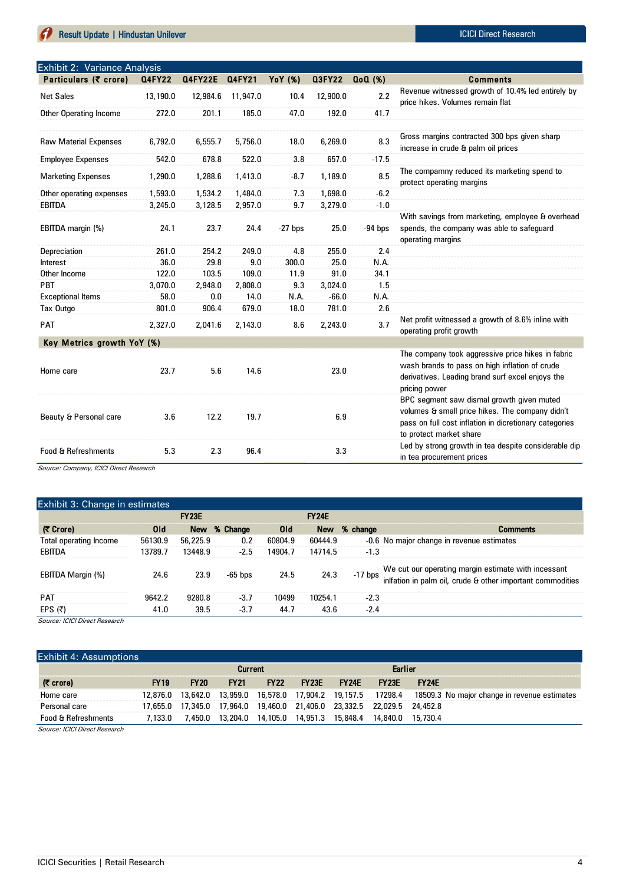Source: Company, ICICI Direct Research

Exhibit 2: Variance Analysis

| $\frac{1}{2}$<br>Particulars (₹ crore) | <b>Q4FY22</b> | <b>Q4FY22E</b> | Q4FY21   | <b>YoY</b> (%) | <b>Q3FY22</b> | $Q_0Q$ $(\%)$ | <b>Comments</b>                                                                                                                                                                   |
|----------------------------------------|---------------|----------------|----------|----------------|---------------|---------------|-----------------------------------------------------------------------------------------------------------------------------------------------------------------------------------|
| <b>Net Sales</b>                       | 13,190.0      | 12,984.6       | 11,947.0 | 10.4           | 12,900.0      | 2.2           | Revenue witnessed growth of 10.4% led entirely by<br>price hikes. Volumes remain flat                                                                                             |
| Other Operating Income                 | 272.0         | 201.1          | 185.0    | 47.0           | 192.0         | 41.7          |                                                                                                                                                                                   |
|                                        |               |                |          |                |               |               |                                                                                                                                                                                   |
| <b>Raw Material Expenses</b>           | 6,792.0       | 6,555.7        | 5,756.0  | 18.0           | 6,269.0       | 8.3           | Gross margins contracted 300 bps given sharp<br>increase in crude & palm oil prices                                                                                               |
| <b>Employee Expenses</b>               | 542.0         | 678.8          | 522.0    | 3.8            | 657.0         | $-17.5$       |                                                                                                                                                                                   |
| <b>Marketing Expenses</b>              | 1,290.0       | 1,288.6        | 1,413.0  | $-8.7$         | 1,189.0       | 8.5           | The compamny reduced its marketing spend to<br>protect operating margins                                                                                                          |
| Other operating expenses               | 1,593.0       | 1,534.2        | 1,484.0  | 7.3            | 1,698.0       | $-6.2$        |                                                                                                                                                                                   |
| <b>EBITDA</b>                          | 3,245.0       | 3,128.5        | 2,957.0  | 9.7            | 3,279.0       | $-1.0$        |                                                                                                                                                                                   |
| EBITDA margin (%)                      | 24.1          | 23.7           | 24.4     | $-27$ bps      | 25.0          | $-94$ bps     | With savings from marketing, employee & overhead<br>spends, the company was able to safequard<br>operating margins                                                                |
| Depreciation                           | 261.0         | 254.2          | 249.0    | 4.8            | 255.0         | 2.4           |                                                                                                                                                                                   |
| Interest                               | 36.0          | 29.8           | 9.0      | 300.0          | 25.0          | N.A.          |                                                                                                                                                                                   |
| Other Income                           | 122.0         | 103.5          | 109.0    | 11.9           | 91.0          | 34.1          |                                                                                                                                                                                   |
| <b>PBT</b>                             | 3,070.0       | 2,948.0        | 2,808.0  | 9.3            | 3,024.0       | 1.5           |                                                                                                                                                                                   |
| <b>Exceptional Items</b>               | 58.0          | 0.0            | 14.0     | N.A.           | $-66.0$       | N.A.          |                                                                                                                                                                                   |
| Tax Outgo                              | 801.0         | 906.4          | 679.0    | 18.0           | 781.0         | 2.6           |                                                                                                                                                                                   |
| <b>PAT</b>                             | 2,327.0       | 2,041.6        | 2,143.0  | 8.6            | 2,243.0       | 3.7           | Net profit witnessed a growth of 8.6% inline with<br>operating profit growth                                                                                                      |
| Key Metrics growth YoY (%)             |               |                |          |                |               |               |                                                                                                                                                                                   |
| Home care                              | 23.7          | 5.6            | 14.6     |                | 23.0          |               | The company took aggressive price hikes in fabric<br>wash brands to pass on high inflation of crude<br>derivatives. Leading brand surf excel enjoys the<br>pricing power          |
| Beauty & Personal care                 | 3.6           | 12.2           | 19.7     |                | 6.9           |               | BPC segment saw dismal growth given muted<br>volumes & small price hikes. The company didn't<br>pass on full cost inflation in dicretionary categories<br>to protect market share |
| <b>Food &amp; Refreshments</b>         | 5.3           | 2.3            | 96.4     |                | 3.3           |               | Led by strong growth in tea despite considerable dip<br>in tea procurement prices                                                                                                 |

Exhibit 3: Change in estimates (| Crore) Old New % Change Old New % change Comments Total operating Income 56130.9 56,225.9 0.2 60804.9 60444.9 EBITDA 13789.7 13448.9 -2.5 14904.7 14714.5 -1.3 EBITDA Margin (%) 24.6 23.9 -65 bps 24.5 24.3 PAT 9642.2 9280.8 -3.7 10499 10254.1 -2.3 EPS (₹) 41.0 39.5 -3.7 44.7 43.6 -2.4 FY23E -0.6 No major change in revenue estimates We cut our operating margin estimate with incessant inlfation in palm oil, crude & other important commodities FY24E

Source: ICICI Direct Research

#### Exhibit 4: Assumptions

|                               |             |             | <b>Current</b> |             |         |              | <b>Earlier</b>                                                                 |                    |                                                                                                            |
|-------------------------------|-------------|-------------|----------------|-------------|---------|--------------|--------------------------------------------------------------------------------|--------------------|------------------------------------------------------------------------------------------------------------|
| $(7 \text{ core})$            | <b>FY19</b> | <b>FY20</b> | <b>FY21</b>    | <b>FY22</b> | $-Y23E$ | <b>FY24E</b> | FY23F                                                                          | FY <sub>24</sub> F |                                                                                                            |
| Home care                     |             |             |                |             |         |              |                                                                                |                    | 12,876.0 13,642.0 13,959.0 16,578.0 17,904.2 19,157.5 17298.4 18509.3 No major change in revenue estimates |
| Personal care                 |             |             |                |             |         |              | 17.655.0  17.345.0  17.964.0  19.460.0  21.406.0  23.332.5  22.029.5  24.452.8 |                    |                                                                                                            |
| Food & Refreshments           | 7.133.0     |             |                |             |         |              | 7.450.0  13.204.0  14.105.0  14.951.3  15.848.4  14.840.0  15.730.4            |                    |                                                                                                            |
| Source: ICICI Direct Research |             |             |                |             |         |              |                                                                                |                    |                                                                                                            |

Source: ICICI Direct Research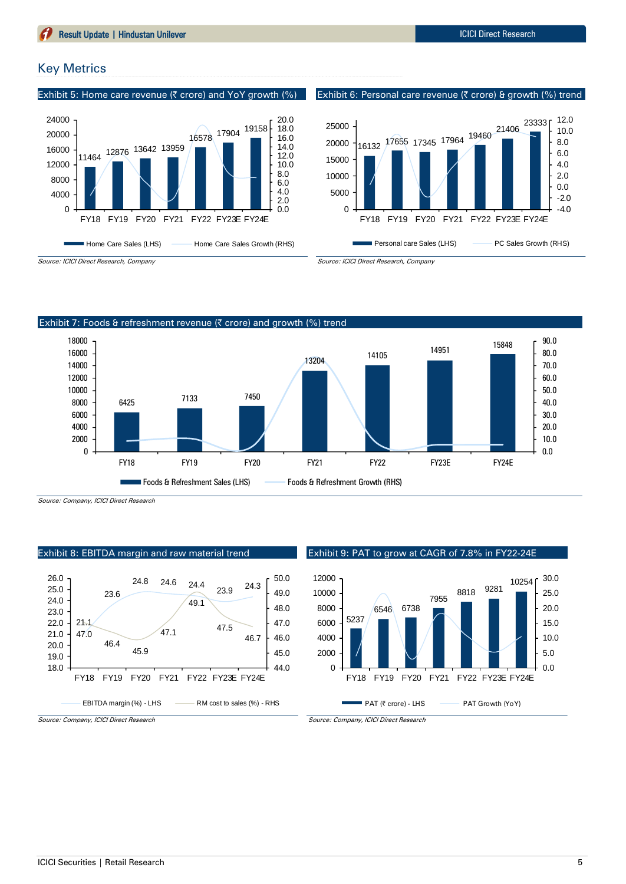## Key Metrics

Exhibit 5: Home care revenue ( $\bar{\tau}$  crore) and YoY growth (%)









Source: Company, ICICI Direct Research

Source: ICICI Direct Research, Company

#### Exhibit 8: EBITDA margin and raw material trend



Exhibit 9: PAT to grow at CAGR of 7.8% in FY22-24E



Source: Company, ICICI Direct Research

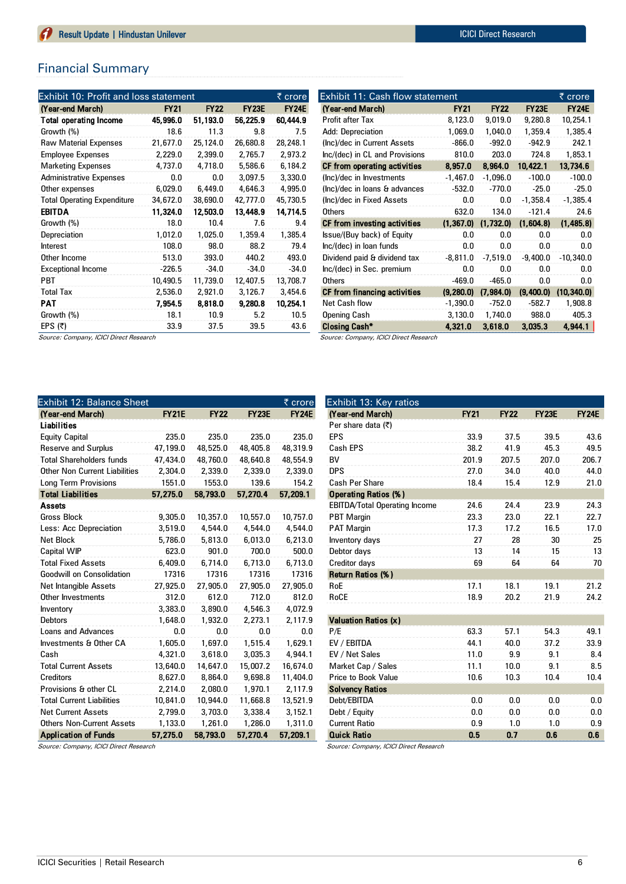## Financial Summary

| Exhibit 10: Profit and loss statement |             |             |              | ₹ crore      |
|---------------------------------------|-------------|-------------|--------------|--------------|
| (Year-end March)                      | <b>FY21</b> | <b>FY22</b> | <b>FY23E</b> | <b>FY24E</b> |
| <b>Total operating Income</b>         | 45,996.0    | 51,193.0    | 56,225.9     | 60,444.9     |
| Growth (%)                            | 18.6        | 11.3        | 9.8          | 7.5          |
| <b>Raw Material Expenses</b>          | 21,677.0    | 25,124.0    | 26,680.8     | 28,248.1     |
| <b>Employee Expenses</b>              | 2,229.0     | 2,399.0     | 2,765.7      | 2,973.2      |
| <b>Marketing Expenses</b>             | 4,737.0     | 4,718.0     | 5,586.6      | 6,184.2      |
| <b>Administrative Expenses</b>        | 0.0         | 0.0         | 3,097.5      | 3,330.0      |
| Other expenses                        | 6,029.0     | 6,449.0     | 4,646.3      | 4,995.0      |
| <b>Total Operating Expenditure</b>    | 34,672.0    | 38,690.0    | 42,777.0     | 45,730.5     |
| <b>EBITDA</b>                         | 11,324.0    | 12,503.0    | 13,448.9     | 14,714.5     |
| Growth (%)                            | 18.0        | 10.4        | 7.6          | 9.4          |
| Depreciation                          | 1,012.0     | 1,025.0     | 1,359.4      | 1,385.4      |
| Interest                              | 108.0       | 98.0        | 88.2         | 79.4         |
| Other Income                          | 513.0       | 393.0       | 440.2        | 493.0        |
| <b>Exceptional Income</b>             | $-226.5$    | $-34.0$     | $-34.0$      | $-34.0$      |
| <b>PBT</b>                            | 10,490.5    | 11,739.0    | 12,407.5     | 13,708.7     |
| <b>Total Tax</b>                      | 2,536.0     | 2,921.0     | 3,126.7      | 3,454.6      |
| PAT                                   | 7,954.5     | 8,818.0     | 9,280.8      | 10,254.1     |
| Growth (%)                            | 18.1        | 10.9        | 5.2          | 10.5         |
| EPS $(5)$                             | 33.9        | 37.5        | 39.5         | 43.6         |

| Exhibit 11: Cash flow statement        |             |             |              | ₹ crore      |
|----------------------------------------|-------------|-------------|--------------|--------------|
| (Year-end March)                       | <b>FY21</b> | <b>FY22</b> | <b>FY23E</b> | <b>FY24E</b> |
| Profit after Tax                       | 8,123.0     | 9,019.0     | 9,280.8      | 10,254.1     |
| Add: Depreciation                      | 1,069.0     | 1,040.0     | 1,359.4      | 1,385.4      |
| (Inc)/dec in Current Assets            | $-866.0$    | $-992.0$    | $-942.9$     | 242.1        |
| Inc/(dec) in CL and Provisions         | 810.0       | 203.0       | 724.8        | 1,853.1      |
| CF from operating activities           | 8,957.0     | 8,964.0     | 10,422.1     | 13,734.6     |
| (Inc)/dec in Investments               | $-1,467.0$  | $-1,096.0$  | $-100.0$     | $-100.0$     |
| (Inc)/dec in loans & advances          | $-532.0$    | $-770.0$    | $-25.0$      | $-25.0$      |
| (Inc)/dec in Fixed Assets              | 0.0         | 0.0         | $-1,358.4$   | $-1,385.4$   |
| Others                                 | 632.0       | 134.0       | $-121.4$     | 24.6         |
| CF from investing activities           | (1, 367.0)  | (1,732.0)   | (1,604.8)    | (1,485.8)    |
| Issue/(Buy back) of Equity             | 0.0         | 0.0         | 0.0          | 0.0          |
| Inc/(dec) in loan funds                | 0.0         | 0.0         | 0.0          | 0.0          |
| Dividend paid & dividend tax           | $-8,811.0$  | $-7,519.0$  | $-9,400.0$   | $-10,340.0$  |
| Inc/(dec) in Sec. premium              | 0.0         | 0.0         | 0.0          | 0.0          |
| Others                                 | $-469.0$    | $-465.0$    | 0.0          | 0.0          |
| CF from financing activities           | (9,280.0)   | (7,984.0)   | (9,400.0)    | (10, 340.0)  |
| Net Cash flow                          | $-1,390.0$  | $-752.0$    | $-582.7$     | 1,908.8      |
| <b>Opening Cash</b>                    | 3,130.0     | 1,740.0     | 988.0        | 405.3        |
| <b>Closing Cash*</b>                   | 4,321.0     | 3,618.0     | 3.035.3      | 4.944.1      |
| Source: Company, ICICI Direct Research |             |             |              |              |

Source: Company, ICICI Direct Research

| Exhibit 12: Balance Sheet        |              |             |              | ₹ crore      |
|----------------------------------|--------------|-------------|--------------|--------------|
| (Year-end March)                 | <b>FY21E</b> | <b>FY22</b> | <b>FY23E</b> | <b>FY24E</b> |
| Liabilities                      |              |             |              |              |
| <b>Equity Capital</b>            | 235.0        | 235.0       | 235.0        | 235.0        |
| <b>Reserve and Surplus</b>       | 47,199.0     | 48,525.0    | 48,405.8     | 48,319.9     |
| <b>Total Shareholders funds</b>  | 47,434.0     | 48,760.0    | 48,640.8     | 48,554.9     |
| Other Non Current Liabilities    | 2,304.0      | 2,339.0     | 2,339.0      | 2,339.0      |
| <b>Long Term Provisions</b>      | 1551.0       | 1553.0      | 139.6        | 154.2        |
| <b>Total Liabilities</b>         | 57,275.0     | 58,793.0    | 57,270.4     | 57,209.1     |
| <b>Assets</b>                    |              |             |              |              |
| <b>Gross Block</b>               | 9,305.0      | 10,357.0    | 10,557.0     | 10,757.0     |
| Less: Acc Depreciation           | 3,519.0      | 4,544.0     | 4,544.0      | 4,544.0      |
| <b>Net Block</b>                 | 5,786.0      | 5,813.0     | 6,013.0      | 6,213.0      |
| <b>Capital WIP</b>               | 623.0        | 901.0       | 700.0        | 500.0        |
| <b>Total Fixed Assets</b>        | 6,409.0      | 6.714.0     | 6,713.0      | 6,713.0      |
| <b>Goodwill on Consolidation</b> | 17316        | 17316       | 17316        | 17316        |
| Net Intangible Assets            | 27,925.0     | 27,905.0    | 27,905.0     | 27,905.0     |
| Other Investments                | 312.0        | 612.0       | 712.0        | 812.0        |
| Inventory                        | 3,383.0      | 3,890.0     | 4,546.3      | 4.072.9      |
| <b>Debtors</b>                   | 1.648.0      | 1.932.0     | 2.273.1      | 2,117.9      |
| <b>Loans and Advances</b>        | 0.0          | 0.0         | 0.0          | 0.0          |
| Investments & Other CA           | 1,605.0      | 1,697.0     | 1,515.4      | 1,629.1      |
| Cash                             | 4,321.0      | 3,618.0     | 3,035.3      | 4,944.1      |
| <b>Total Current Assets</b>      | 13,640.0     | 14,647.0    | 15,007.2     | 16,674.0     |
| <b>Creditors</b>                 | 8,627.0      | 8,864.0     | 9,698.8      | 11,404.0     |
| Provisions & other CL            | 2,214.0      | 2,080.0     | 1,970.1      | 2,117.9      |
| <b>Total Current Liabilities</b> | 10,841.0     | 10,944.0    | 11,668.8     | 13,521.9     |
| <b>Net Current Assets</b>        | 2,799.0      | 3.703.0     | 3,338.4      | 3,152.1      |
| <b>Others Non-Current Assets</b> | 1,133.0      | 1,261.0     | 1,286.0      | 1,311.0      |
| <b>Application of Funds</b>      | 57.275.0     | 58.793.0    | 57.270.4     | 57.209.1     |

| Exhibit 13: Key ratios               |             |             |              |              |
|--------------------------------------|-------------|-------------|--------------|--------------|
| (Year-end March)                     | <b>FY21</b> | <b>FY22</b> | <b>FY23E</b> | <b>FY24E</b> |
| Per share data (₹)                   |             |             |              |              |
| <b>EPS</b>                           | 33.9        | 37.5        | 39.5         | 43.6         |
| Cash EPS                             | 38.2        | 41.9        | 45.3         | 49.5         |
| BV                                   | 201.9       | 207.5       | 207.0        | 206.7        |
| <b>DPS</b>                           | 27.0        | 34.0        | 40.0         | 44.0         |
| Cash Per Share                       | 18.4        | 15.4        | 12.9         | 21.0         |
| <b>Operating Ratios (%)</b>          |             |             |              |              |
| <b>EBITDA/Total Operating Income</b> | 24.6        | 24.4        | 23.9         | 24.3         |
| <b>PBT Margin</b>                    | 23.3        | 23.0        | 22.1         | 22.7         |
| <b>PAT Margin</b>                    | 17.3        | 17.2        | 16.5         | 17.0         |
| Inventory days                       | 27          | 28          | 30           | 25           |
| Debtor days                          | 13          | 14          | 15           | 13           |
| Creditor days                        | 69          | 64          | 64           | 70           |
| <b>Return Ratios (%)</b>             |             |             |              |              |
| RoE                                  | 17.1        | 18.1        | 19.1         | 21.2         |
| RoCE                                 | 18.9        | 20.2        | 21.9         | 24.2         |
|                                      |             |             |              |              |
| <b>Valuation Ratios (x)</b>          |             |             |              |              |
| P/E                                  | 63.3        | 57.1        | 54.3         | 49.1         |
| EV / EBITDA                          | 44.1        | 40.0        | 37.2         | 33.9         |
| EV / Net Sales                       | 11.0        | 9.9         | 9.1          | 8.4          |
| Market Cap / Sales                   | 11.1        | 10.0        | 9.1          | 8.5          |
| Price to Book Value                  | 10.6        | 10.3        | 10.4         | 10.4         |
| <b>Solvency Ratios</b>               |             |             |              |              |
| Debt/EBITDA                          | 0.0         | 0.0         | 0.0          | 0.0          |
| Debt / Equity                        | 0.0         | 0.0         | 0.0          | 0.0          |
| <b>Current Ratio</b>                 | 0.9         | 1.0         | 1.0          | 0.9          |
| <b>Quick Ratio</b>                   | 0.5         | 0.7         | 0.6          | 0.6          |

Source: Company, ICICI Direct Research

Source: Company, ICICI Direct Research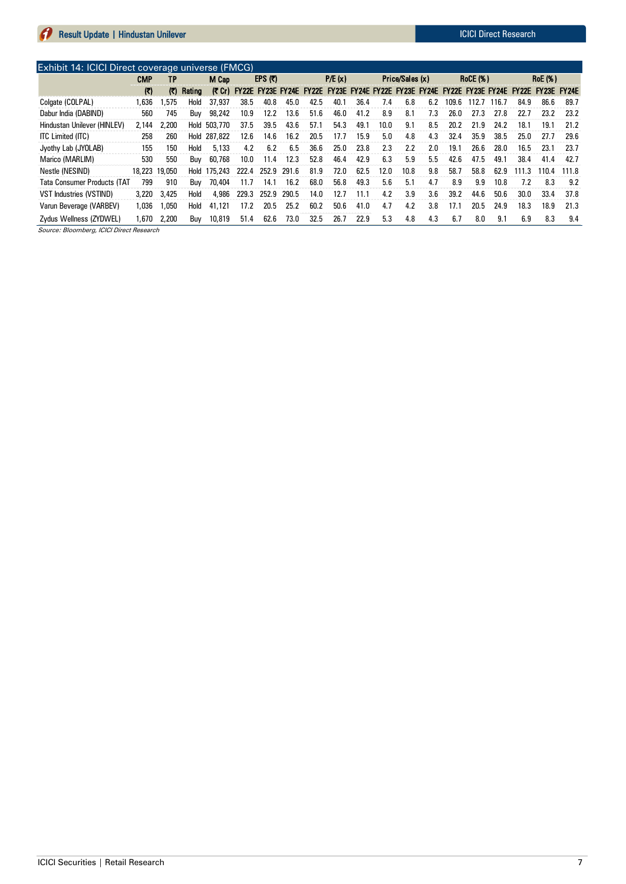|                                    | Exhibit 14: ICICI Direct coverage universe (FMCG) |                         |        |              |                   |           |       |              |                                                       |      |                 |      |     |                 |       |       |       |                |       |
|------------------------------------|---------------------------------------------------|-------------------------|--------|--------------|-------------------|-----------|-------|--------------|-------------------------------------------------------|------|-----------------|------|-----|-----------------|-------|-------|-------|----------------|-------|
|                                    | CMP                                               | ΤP                      |        | M Cap        |                   | EPS $(7)$ |       |              | P/E(x)                                                |      | Price/Sales (x) |      |     | <b>RoCE (%)</b> |       |       |       | <b>RoE</b> (%) |       |
|                                    | $\mathcal{L}$                                     | $\left( \nabla \right)$ | Rating | (₹ Cr)       | FY22E FY23E FY24E |           |       | <b>FY22E</b> | FY23E FY24E FY22E FY23E FY24E FY22E FY23E FY24E FY22E |      |                 |      |     |                 |       |       |       | FY23E FY24E    |       |
| Colgate (COLPAL)                   | .636                                              | .575                    | Hold   | 37.937       | 38.5              | 40.8      | 45.0  | 42.5         | 40.1                                                  | 36.4 | 7.4             | 6.8  | 6.2 | 109.6           | 112.7 | 116.7 | 84.9  | 86.6           | 89.7  |
| Dabur India (DABIND)               | 560                                               | 745                     | Buv    | 98,242       | 10.9              | 12.2      | 13.6  | 51.6         | 46.0                                                  | 41.2 | 8.9             | 8.1  | 7.3 | 26.0            | 27.3  | 27.8  | 22.7  | 23.2           | 23.2  |
| Hindustan Unilever (HINLEV)        | 2.144                                             | 2,200                   | Hold   | 503,770      | 37.5              | 39.5      | 43.6  | 57.1         | 54.3                                                  | 49.1 | 10.0            | 9.1  | 8.5 | 20.2            | 21.9  | 24.2  | 18.1  | 19.1           | 21.2  |
| ITC Limited (ITC)                  | 258                                               | 260                     |        | Hold 287,822 | 12.6              | 14.6      | 16.2  | 20.5         | 17.7                                                  | 15.9 | 5.0             | 4.8  | 4.3 | 32.4            | 35.9  | 38.5  | 25.0  | 27.7           | 29.6  |
| Jyothy Lab (JYOLAB)                | 155                                               | 150                     | Hold   | 5.133        | 4.2               | 6.2       | 6.5   | 36.6         | 25.0                                                  | 23.8 | 2.3             | 2.2  | 2.0 | 19.1            | 26.6  | 28.0  | 16.5  | 23.1           | 23.7  |
| Marico (MARLIM)                    | 530                                               | 550                     | Buv    | 60,768       | 10.0              | 11.4      | 12.3  | 52.8         | 46.4                                                  | 42.9 | 6.3             | 5.9  | 5.5 | 42.6            | 47.5  | 49.1  | 38.4  | 41.4           | 42.7  |
| Nestle (NESIND)                    | 18.223 19.050                                     |                         | Hold   | 175,243      | 222.4             | 252.9     | 291.6 | 81.9         | 72.0                                                  | 62.5 | 12.0            | 10.8 | 9.8 | 58.7            | 58.8  | 62.9  | 111.3 | 110.4          | 111.8 |
| <b>Tata Consumer Products (TAT</b> | 799                                               | 910                     | Buv    | 70.404       | 11.7              | 14.1      | 16.2  | 68.0         | 56.8                                                  | 49.3 | 5.6             | 5.1  | 4.7 | 8.9             | 9.9   | 10.8  | 7.2   | 8.3            | 9.2   |
| VST Industries (VSTIND)            | 3.220                                             | 3,425                   | Hold   | 4.986        | 229.3             | 252.9     | 290.5 | 14.0         | 12.7                                                  | 11.1 | 4.2             | 3.9  | 3.6 | 39.2            | 44.6  | 50.6  | 30.0  | 33.4           | 37.8  |
| Varun Beverage (VARBEV)            | 1.036                                             | 1.050                   | Hold   | 41.121       | 17.2              | 20.5      | 25.2  | 60.2         | 50.6                                                  | 41.0 | 4.7             | 4.2  | 3.8 | 17.1            | 20.5  | 24.9  | 18.3  | 18.9           | 21.3  |
| Zydus Wellness (ZYDWEL)            | .670                                              | 2.200                   | Buv    | 10,819       | 51.4              | 62.6      | 73.0  | 32.5         | 26.7                                                  | 22.9 | 5.3             | 4.8  | 4.3 | 6.7             | 8.0   | 9.1   | 6.9   | 8.3            | 9.4   |

Source: Bloomberg, ICICI Direct Research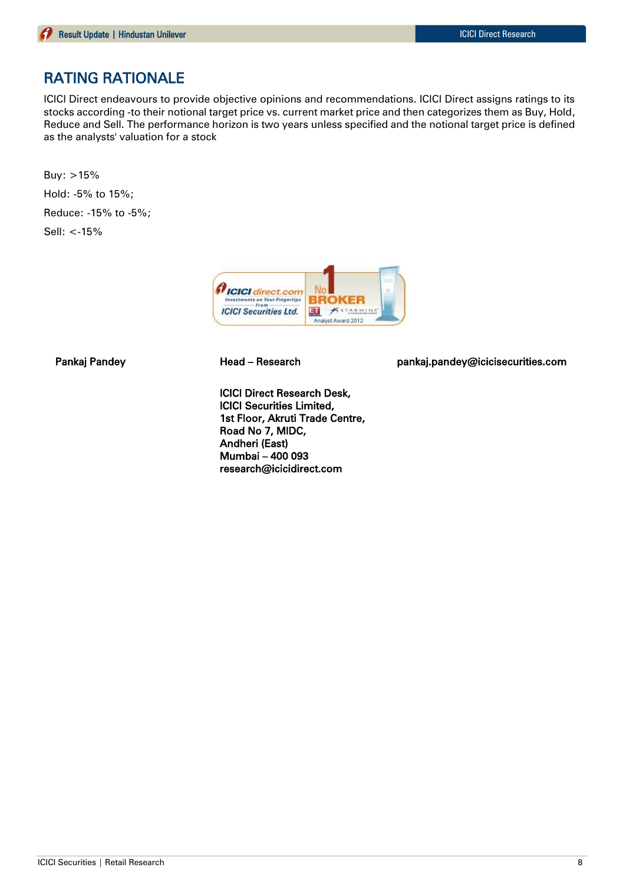## RATING RATIONALE

ICICI Direct endeavours to provide objective opinions and recommendations. ICICI Direct assigns ratings to its stocks according -to their notional target price vs. current market price and then categorizes them as Buy, Hold, Reduce and Sell. The performance horizon is two years unless specified and the notional target price is defined as the analysts' valuation for a stock

Buy: >15% Hold: -5% to 15%; Reduce: -15% to -5%; Sell: <-15%



ICICI Direct Research Desk, ICICI Securities Limited, 1st Floor, Akruti Trade Centre, Road No 7, MIDC, Andheri (East) Mumbai – 400 093 research@icicidirect.com

Pankaj Pandey **Head – Research head pankaj.pandey@icicisecurities.com**